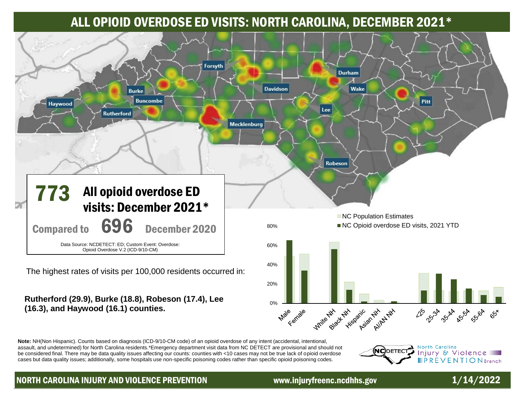# ALL OPIOID OVERDOSE ED VISITS: NORTH CAROLINA, DECEMBER 2021\*



**0%** 

ale chiale

**Rutherford (29.9), Burke (18.8), Robeson (17.4), Lee (16.3), and Haywood (16.1) counties.**

**Note:** NH(Non Hispanic). Counts based on diagnosis (ICD-9/10-CM code) of an opioid overdose of any intent (accidental, intentional, assault, and undetermined) for North Carolina residents.\*Emergency department visit data from NC DETECT are provisional and should not be considered final. There may be data quality issues affecting our counts: counties with <10 cases may not be true lack of opioid overdose cases but data quality issues; additionally, some hospitals use non-specific poisoning codes rather than specific opioid poisoning codes.

panic Allaban North Carolina NCDETECT Injury & Violence **FPREVENTION** Branch

225 234 4514 554 5564

## NORTH CAROLINA INJURY AND VIOLENCE PREVENTION www.injuryfreenc.ncdhhs.gov  $1/14/2022$

**Write Black** 

Black His

**Hitchgraphic** 

ధీ